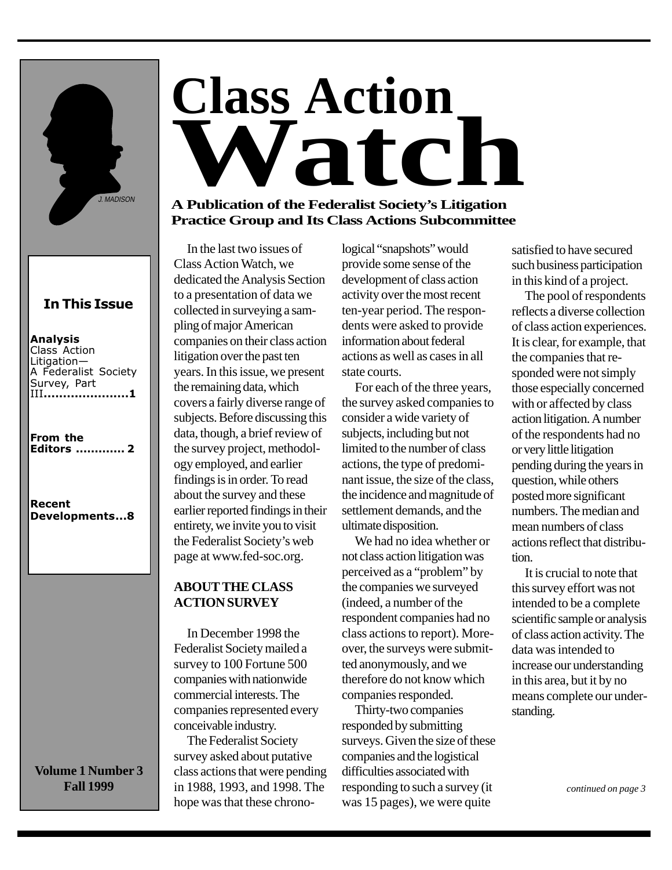

### In This Issue

### Analysis

From the Editors ............. 2

Recent Developments...8

### **Volume 1 Number 3 Fall 1999**

# **Class Action Watch**

### **A Publication of the Federalist Society's Litigation Practice Group and Its Class Actions Subcommittee**

In the last two issues of Class Action Watch, we dedicated the Analysis Section to a presentation of data we collected in surveying a sampling of major American companies on their class action litigation over the past ten years. In this issue, we present the remaining data, which covers a fairly diverse range of subjects. Before discussing this data, though, a brief review of the survey project, methodology employed, and earlier findings is in order. To read about the survey and these earlier reported findings in their entirety, we invite you to visit the Federalist Society's web page at www.fed-soc.org.

### **ABOUT THE CLASS ACTION SURVEY**

In December 1998 the Federalist Society mailed a survey to 100 Fortune 500 companies with nationwide commercial interests. The companies represented every conceivable industry.

The Federalist Society survey asked about putative class actions that were pending in 1988, 1993, and 1998. The hope was that these chronological "snapshots" would provide some sense of the development of class action activity over the most recent ten-year period. The respondents were asked to provide information about federal actions as well as cases in all state courts.

For each of the three years, the survey asked companies to consider a wide variety of subjects, including but not limited to the number of class actions, the type of predominant issue, the size of the class, the incidence and magnitude of settlement demands, and the ultimate disposition.

We had no idea whether or not class action litigation was perceived as a "problem" by the companies we surveyed (indeed, a number of the respondent companies had no class actions to report). Moreover, the surveys were submitted anonymously, and we therefore do not know which companies responded.

Thirty-two companies responded by submitting surveys. Given the size of these companies and the logistical difficulties associated with responding to such a survey (it was 15 pages), we were quite

satisfied to have secured such business participation in this kind of a project.

The pool of respondents reflects a diverse collection of class action experiences. It is clear, for example, that the companies that responded were not simply those especially concerned with or affected by class action litigation. A number of the respondents had no or very little litigation pending during the years in question, while others posted more significant numbers. The median and mean numbers of class actions reflect that distribution.

It is crucial to note that this survey effort was not intended to be a complete scientific sample or analysis of class action activity. The data was intended to increase our understanding in this area, but it by no means complete our understanding.

*continued on page 3*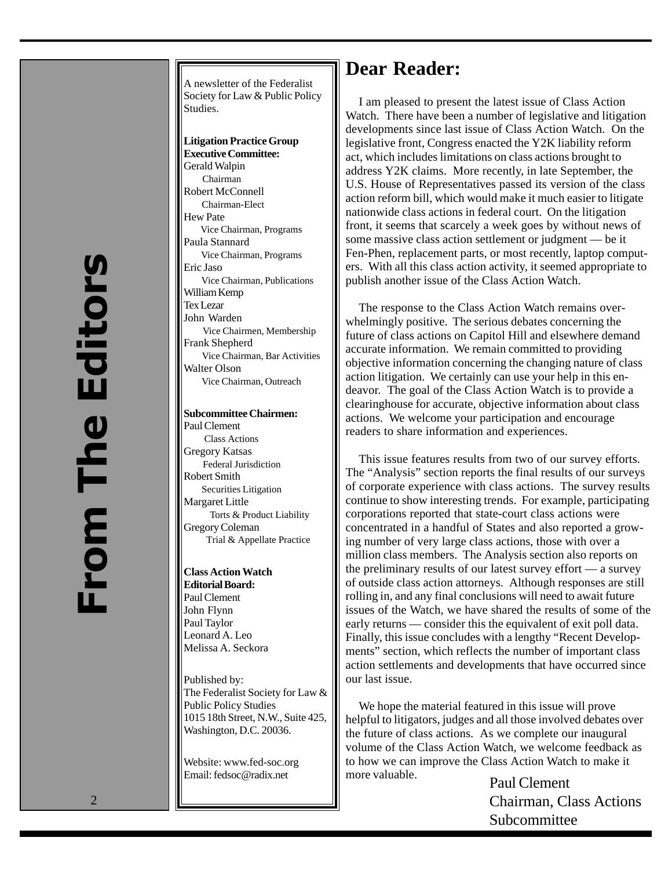A newsletter of the Federalist Society for Law & Public Policy Studies.

**Litigation Practice Group Executive Committee:** Gerald Walpin Chairman Robert McConnell Chairman-Elect Hew Pate Vice Chairman, Programs Paula Stannard Vice Chairman, Programs Eric Jaso Vice Chairman, Publications William Kemp Tex Lezar John Warden Vice Chairmen, Membership Frank Shepherd Vice Chairman, Bar Activities Walter Olson Vice Chairman, Outreach

### **Subcommittee Chairmen:**

Paul Clement Class Actions Gregory Katsas Federal Jurisdiction Robert Smith Securities Litigation Margaret Little Torts & Product Liability Gregory Coleman Trial & Appellate Practice

**Class Action Watch Editorial Board:** Paul Clement John Flynn Paul Taylor Leonard A. Leo Melissa A. Seckora

Published by: The Federalist Society for Law & Public Policy Studies 1015 18th Street, N.W., Suite 425, Washington, D.C. 20036.

Website: www.fed-soc.org Email: fedsoc@radix.net

### **Dear Reader:**

I am pleased to present the latest issue of Class Action Watch. There have been a number of legislative and litigation developments since last issue of Class Action Watch. On the legislative front, Congress enacted the Y2K liability reform act, which includes limitations on class actions brought to address Y2K claims. More recently, in late September, the U.S. House of Representatives passed its version of the class action reform bill, which would make it much easier to litigate nationwide class actions in federal court. On the litigation front, it seems that scarcely a week goes by without news of some massive class action settlement or judgment — be it Fen-Phen, replacement parts, or most recently, laptop computers. With all this class action activity, it seemed appropriate to publish another issue of the Class Action Watch.

The response to the Class Action Watch remains overwhelmingly positive. The serious debates concerning the future of class actions on Capitol Hill and elsewhere demand accurate information. We remain committed to providing objective information concerning the changing nature of class action litigation. We certainly can use your help in this endeavor. The goal of the Class Action Watch is to provide a clearinghouse for accurate, objective information about class actions. We welcome your participation and encourage readers to share information and experiences.

This issue features results from two of our survey efforts. The "Analysis" section reports the final results of our surveys of corporate experience with class actions. The survey results continue to show interesting trends. For example, participating corporations reported that state-court class actions were concentrated in a handful of States and also reported a growing number of very large class actions, those with over a million class members. The Analysis section also reports on the preliminary results of our latest survey effort — a survey of outside class action attorneys. Although responses are still rolling in, and any final conclusions will need to await future issues of the Watch, we have shared the results of some of the early returns — consider this the equivalent of exit poll data. Finally, this issue concludes with a lengthy "Recent Developments" section, which reflects the number of important class action settlements and developments that have occurred since our last issue.

We hope the material featured in this issue will prove helpful to litigators, judges and all those involved debates over the future of class actions. As we complete our inaugural volume of the Class Action Watch, we welcome feedback as to how we can improve the Class Action Watch to make it more valuable.<br>
Paul Clement

Chairman, Class Actions Subcommittee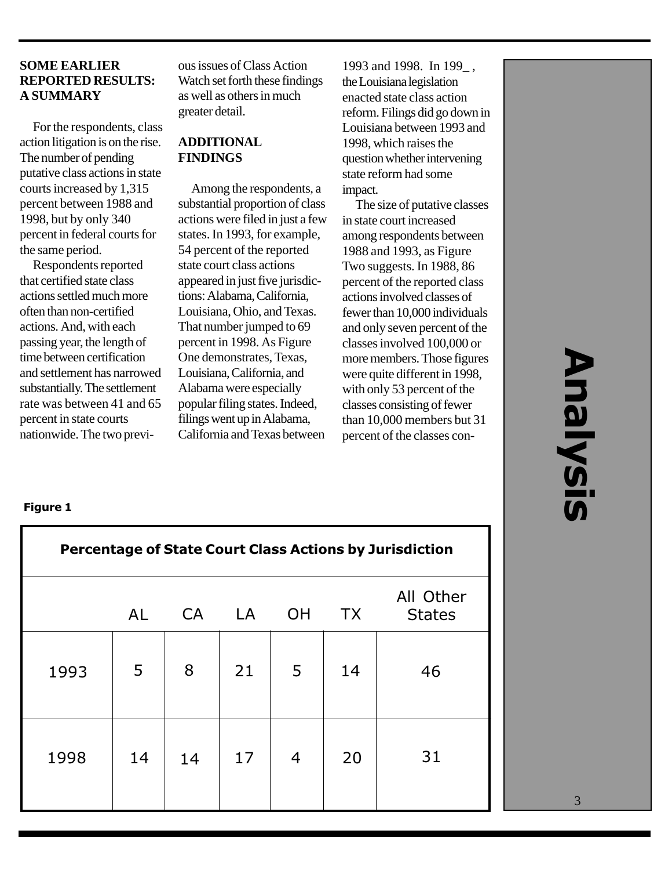### **SOME EARLIER REPORTED RESULTS: A SUMMARY**

For the respondents, class action litigation is on the rise. The number of pending putative class actions in state courts increased by 1,315 percent between 1988 and 1998, but by only 340 percent in federal courts for the same period.

Respondents reported that certified state class actions settled much more often than non-certified actions. And, with each passing year, the length of time between certification and settlement has narrowed substantially. The settlement rate was between 41 and 65 percent in state courts nationwide. The two previous issues of Class Action Watch set forth these findings as well as others in much greater detail.

### **ADDITIONAL FINDINGS**

Among the respondents, a substantial proportion of class actions were filed in just a few states. In 1993, for example, 54 percent of the reported state court class actions appeared in just five jurisdictions: Alabama, California, Louisiana, Ohio, and Texas. That number jumped to 69 percent in 1998. As Figure One demonstrates, Texas, Louisiana, California, and Alabama were especially popular filing states. Indeed, filings went up in Alabama, California and Texas between

1993 and 1998. In 199\_ , the Louisiana legislation enacted state class action reform. Filings did go down in Louisiana between 1993 and 1998, which raises the question whether intervening state reform had some impact.

The size of putative classes in state court increased among respondents between 1988 and 1993, as Figure Two suggests. In 1988, 86 percent of the reported class actions involved classes of fewer than 10,000 individuals and only seven percent of the classes involved 100,000 or more members. Those figures were quite different in 1998, with only 53 percent of the classes consisting of fewer than 10,000 members but 31 percent of the classes con-

3Analysis Analysis

### Figure 1

| <b>Percentage of State Court Class Actions by Jurisdiction</b> |    |    |    |           |           |                            |  |
|----------------------------------------------------------------|----|----|----|-----------|-----------|----------------------------|--|
|                                                                | AL | CA | LA | <b>OH</b> | <b>TX</b> | All Other<br><b>States</b> |  |
| 1993                                                           | 5  | 8  | 21 | 5         | 14        | 46                         |  |
| 1998                                                           | 14 | 14 | 17 | 4         | 20        | 31                         |  |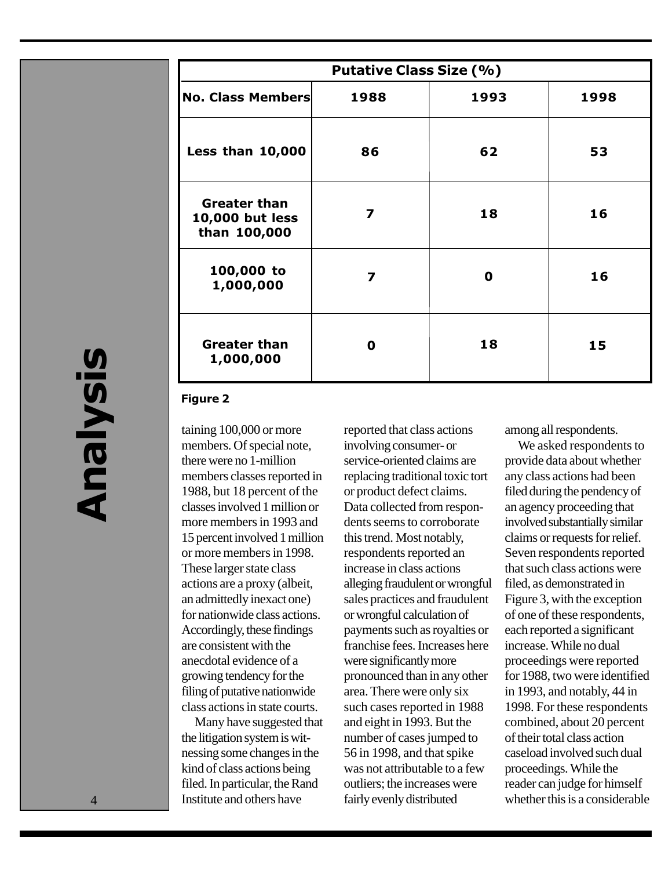| $\overline{\phantom{a}}$<br>$\overline{\mathbf{r}}$ |
|-----------------------------------------------------|
| $\overline{\mathbf{0}}$                             |
|                                                     |
| ľ<br>í<br>t                                         |
| l<br>я                                              |
|                                                     |
|                                                     |
|                                                     |
|                                                     |
|                                                     |
|                                                     |
|                                                     |
|                                                     |
|                                                     |
|                                                     |

| <b>Putative Class Size (%)</b>                         |      |      |      |  |  |  |  |
|--------------------------------------------------------|------|------|------|--|--|--|--|
| <b>No. Class Members</b>                               | 1988 | 1993 | 1998 |  |  |  |  |
| <b>Less than 10,000</b>                                | 86   | 62   | 53   |  |  |  |  |
| <b>Greater than</b><br>10,000 but less<br>than 100,000 | 7    | 18   | 16   |  |  |  |  |
| 100,000 to<br>1,000,000                                | 7    | 0    | 16   |  |  |  |  |
| <b>Greater than</b><br>1,000,000                       | 0    | 18   | 15   |  |  |  |  |

### Figure 2

taining 100,000 or more members. Of special note, there were no 1-million members classes reported in 1988, but 18 percent of the classes involved 1 million or more members in 1993 and 15 percent involved 1 million or more members in 1998. These larger state class actions are a proxy (albeit, an admittedly inexact one) for nationwide class actions. Accordingly, these findings are consistent with the anecdotal evidence of a growing tendency for the filing of putative nationwide class actions in state courts.

Many have suggested that the litigation system is witnessing some changes in the kind of class actions being filed. In particular, the Rand Institute and others have

reported that class actions involving consumer- or service-oriented claims are replacing traditional toxic tort or product defect claims. Data collected from respondents seems to corroborate this trend. Most notably, respondents reported an increase in class actions alleging fraudulent or wrongful sales practices and fraudulent or wrongful calculation of payments such as royalties or franchise fees. Increases here were significantly more pronounced than in any other area. There were only six such cases reported in 1988 and eight in 1993. But the number of cases jumped to 56 in 1998, and that spike was not attributable to a few outliers; the increases were fairly evenly distributed

among all respondents.

We asked respondents to provide data about whether any class actions had been filed during the pendency of an agency proceeding that involved substantially similar claims or requests for relief. Seven respondents reported that such class actions were filed, as demonstrated in Figure 3, with the exception of one of these respondents, each reported a significant increase. While no dual proceedings were reported for 1988, two were identified in 1993, and notably, 44 in 1998. For these respondents combined, about 20 percent of their total class action caseload involved such dual proceedings. While the reader can judge for himself whether this is a considerable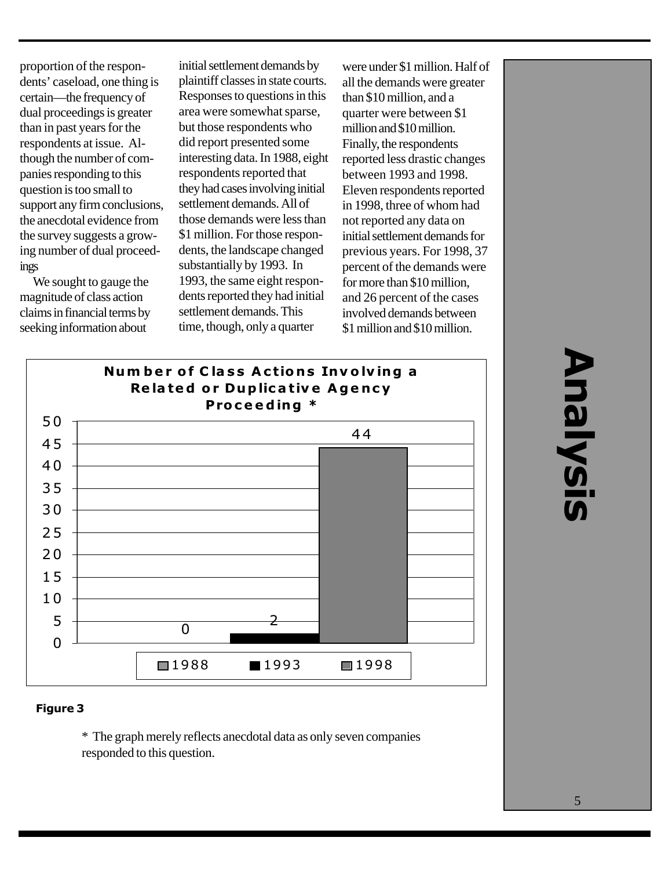proportion of the respondents' caseload, one thing is certain—the frequency of dual proceedings is greater than in past years for the respondents at issue. Although the number of companies responding to this question is too small to support any firm conclusions, the anecdotal evidence from the survey suggests a growing number of dual proceedings

We sought to gauge the magnitude of class action claims in financial terms by seeking information about

initial settlement demands by plaintiff classes in state courts. Responses to questions in this area were somewhat sparse, but those respondents who did report presented some interesting data. In 1988, eight respondents reported that they had cases involving initial settlement demands. All of those demands were less than \$1 million. For those respondents, the landscape changed substantially by 1993. In 1993, the same eight respondents reported they had initial settlement demands. This time, though, only a quarter

were under \$1 million. Half of all the demands were greater than \$10 million, and a quarter were between \$1 million and \$10 million. Finally, the respondents reported less drastic changes between 1993 and 1998. Eleven respondents reported in 1998, three of whom had not reported any data on initial settlement demands for previous years. For 1998, 37 percent of the demands were for more than \$10 million, and 26 percent of the cases involved demands between \$1 million and \$10 million.



# 5Analysis **Analysis**

### Figure 3

\* The graph merely reflects anecdotal data as only seven companies responded to this question.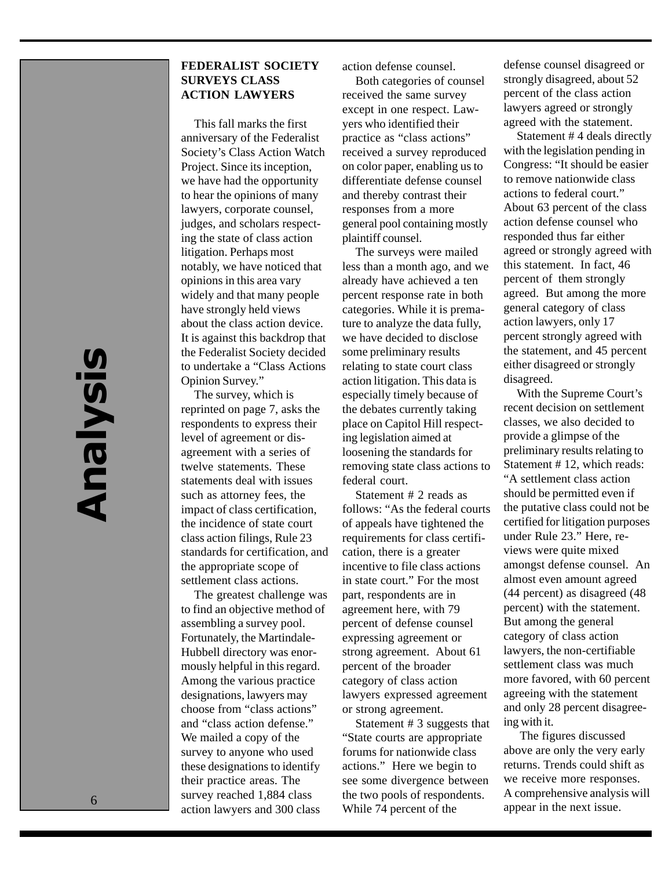# 6 Analysis **Analysis**

### **FEDERALIST SOCIETY SURVEYS CLASS ACTION LAWYERS**

This fall marks the first anniversary of the Federalist Society's Class Action Watch Project. Since its inception, we have had the opportunity to hear the opinions of many lawyers, corporate counsel, judges, and scholars respecting the state of class action litigation. Perhaps most notably, we have noticed that opinions in this area vary widely and that many people have strongly held views about the class action device. It is against this backdrop that the Federalist Society decided to undertake a "Class Actions Opinion Survey."

The survey, which is reprinted on page 7, asks the respondents to express their level of agreement or disagreement with a series of twelve statements. These statements deal with issues such as attorney fees, the impact of class certification, the incidence of state court class action filings, Rule 23 standards for certification, and the appropriate scope of settlement class actions.

The greatest challenge was to find an objective method of assembling a survey pool. Fortunately, the Martindale-Hubbell directory was enormously helpful in this regard. Among the various practice designations, lawyers may choose from "class actions" and "class action defense." We mailed a copy of the survey to anyone who used these designations to identify their practice areas. The survey reached 1,884 class action lawyers and 300 class

action defense counsel.

Both categories of counsel received the same survey except in one respect. Lawyers who identified their practice as "class actions" received a survey reproduced on color paper, enabling us to differentiate defense counsel and thereby contrast their responses from a more general pool containing mostly plaintiff counsel.

The surveys were mailed less than a month ago, and we already have achieved a ten percent response rate in both categories. While it is premature to analyze the data fully, we have decided to disclose some preliminary results relating to state court class action litigation. This data is especially timely because of the debates currently taking place on Capitol Hill respecting legislation aimed at loosening the standards for removing state class actions to federal court.

Statement # 2 reads as follows: "As the federal courts of appeals have tightened the requirements for class certification, there is a greater incentive to file class actions in state court." For the most part, respondents are in agreement here, with 79 percent of defense counsel expressing agreement or strong agreement. About 61 percent of the broader category of class action lawyers expressed agreement or strong agreement.

Statement # 3 suggests that "State courts are appropriate forums for nationwide class actions." Here we begin to see some divergence between the two pools of respondents. While 74 percent of the

defense counsel disagreed or strongly disagreed, about 52 percent of the class action lawyers agreed or strongly agreed with the statement.

Statement # 4 deals directly with the legislation pending in Congress: "It should be easier to remove nationwide class actions to federal court." About 63 percent of the class action defense counsel who responded thus far either agreed or strongly agreed with this statement. In fact, 46 percent of them strongly agreed. But among the more general category of class action lawyers, only 17 percent strongly agreed with the statement, and 45 percent either disagreed or strongly disagreed.

With the Supreme Court's recent decision on settlement classes, we also decided to provide a glimpse of the preliminary results relating to Statement # 12, which reads: "A settlement class action should be permitted even if the putative class could not be certified for litigation purposes under Rule 23." Here, reviews were quite mixed amongst defense counsel. An almost even amount agreed (44 percent) as disagreed (48 percent) with the statement. But among the general category of class action lawyers, the non-certifiable settlement class was much more favored, with 60 percent agreeing with the statement and only 28 percent disagreeing with it.

 The figures discussed above are only the very early returns. Trends could shift as we receive more responses. A comprehensive analysis will appear in the next issue.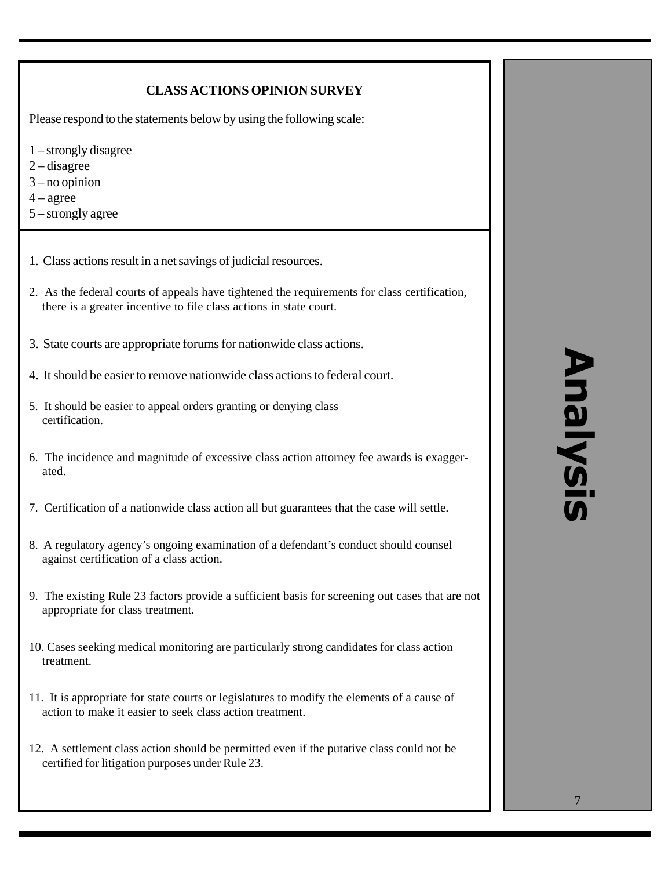### **CLASS ACTIONS OPINION SURVEY**

Please respond to the statements below by using the following scale:

- 1 strongly disagree
- 2 disagree
- 3 no opinion
- $4 \text{agree}$
- 5 strongly agree
- 1. Class actions result in a net savings of judicial resources.
- 2. As the federal courts of appeals have tightened the requirements for class certification, there is a greater incentive to file class actions in state court.
- 3. State courts are appropriate forums for nationwide class actions.
- 4. It should be easier to remove nationwide class actions to federal court.
- 5. It should be easier to appeal orders granting or denying class certification.
- 6. The incidence and magnitude of excessive class action attorney fee awards is exaggerated.
- 7. Certification of a nationwide class action all but guarantees that the case will settle.
- 8. A regulatory agency's ongoing examination of a defendant's conduct should counsel against certification of a class action.
- 9. The existing Rule 23 factors provide a sufficient basis for screening out cases that are not appropriate for class treatment.
- 10. Cases seeking medical monitoring are particularly strong candidates for class action treatment.
- 11. It is appropriate for state courts or legislatures to modify the elements of a cause of action to make it easier to seek class action treatment.
- 12. A settlement class action should be permitted even if the putative class could not be certified for litigation purposes under Rule 23.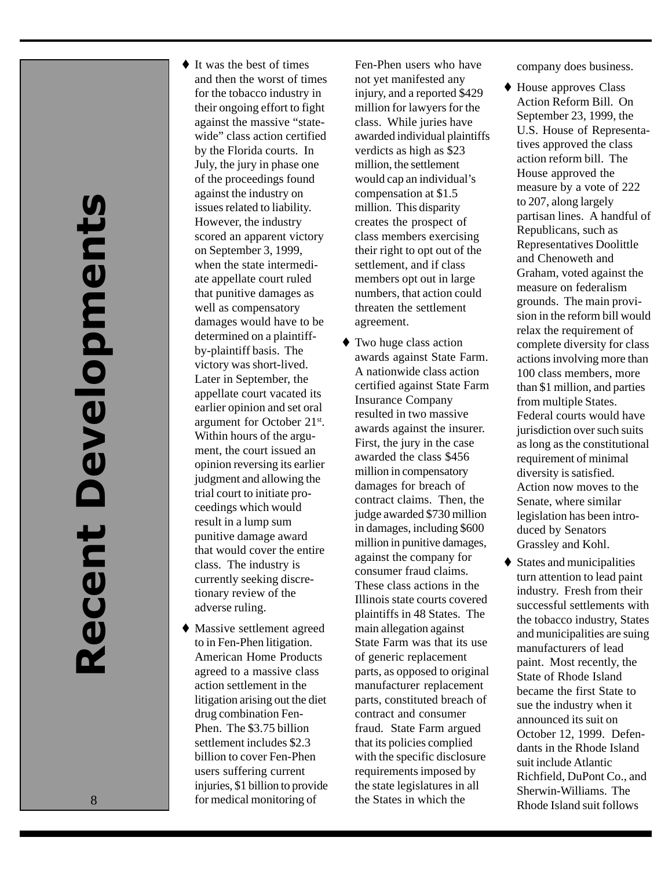- $\blacklozenge$  It was the best of times and then the worst of times for the tobacco industry in their ongoing effort to fight against the massive "statewide" class action certified by the Florida courts. In July, the jury in phase one of the proceedings found against the industry on issues related to liability. However, the industry scored an apparent victory on September 3, 1999, when the state intermediate appellate court ruled that punitive damages as well as compensatory damages would have to be determined on a plaintiffby-plaintiff basis. The victory was short-lived. Later in September, the appellate court vacated its earlier opinion and set oral argument for October 21st. Within hours of the argument, the court issued an opinion reversing its earlier judgment and allowing the trial court to initiate proceedings which would result in a lump sum punitive damage award that would cover the entire class. The industry is currently seeking discretionary review of the adverse ruling.  $\blacklozenge$  Massive settlement agreed
- to in Fen-Phen litigation. American Home Products agreed to a massive class action settlement in the litigation arising out the diet drug combination Fen-Phen. The \$3.75 billion settlement includes \$2.3 billion to cover Fen-Phen users suffering current injuries, \$1 billion to provide for medical monitoring of

Fen-Phen users who have not yet manifested any injury, and a reported \$429 million for lawyers for the class. While juries have awarded individual plaintiffs verdicts as high as \$23 million, the settlement would cap an individual's compensation at \$1.5 million. This disparity creates the prospect of class members exercising their right to opt out of the settlement, and if class members opt out in large numbers, that action could threaten the settlement agreement.

 $\blacklozenge$  Two huge class action awards against State Farm. A nationwide class action certified against State Farm Insurance Company resulted in two massive awards against the insurer. First, the jury in the case awarded the class \$456 million in compensatory damages for breach of contract claims. Then, the judge awarded \$730 million in damages, including \$600 million in punitive damages, against the company for consumer fraud claims. These class actions in the Illinois state courts covered plaintiffs in 48 States. The main allegation against State Farm was that its use of generic replacement parts, as opposed to original manufacturer replacement parts, constituted breach of contract and consumer fraud. State Farm argued that its policies complied with the specific disclosure requirements imposed by the state legislatures in all the States in which the

company does business.

- $\blacklozenge$  House approves Class Action Reform Bill. On September 23, 1999, the U.S. House of Representatives approved the class action reform bill. The House approved the measure by a vote of 222 to 207, along largely partisan lines. A handful of Republicans, such as Representatives Doolittle and Chenoweth and Graham, voted against the measure on federalism grounds. The main provision in the reform bill would relax the requirement of complete diversity for class actions involving more than 100 class members, more than \$1 million, and parties from multiple States. Federal courts would have jurisdiction over such suits as long as the constitutional requirement of minimal diversity is satisfied. Action now moves to the Senate, where similar legislation has been introduced by Senators Grassley and Kohl.
- $\blacklozenge$  States and municipalities turn attention to lead paint industry. Fresh from their successful settlements with the tobacco industry, States and municipalities are suing manufacturers of lead paint. Most recently, the State of Rhode Island became the first State to sue the industry when it announced its suit on October 12, 1999. Defendants in the Rhode Island suit include Atlantic Richfield, DuPont Co., and Sherwin-Williams. The Rhode Island suit follows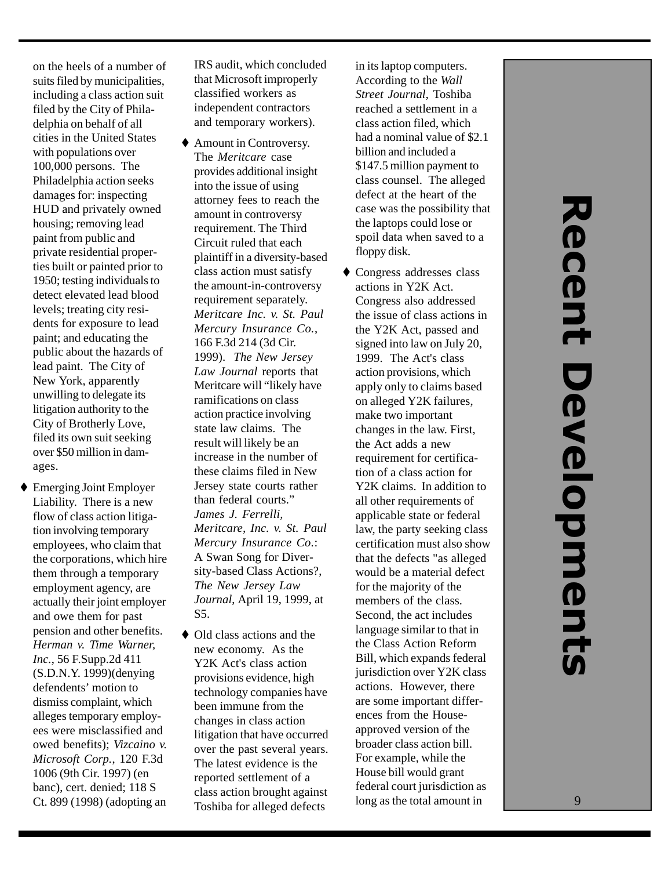on the heels of a number of suits filed by municipalities, including a class action suit filed by the City of Philadelphia on behalf of all cities in the United States with populations over 100,000 persons. The Philadelphia action seeks damages for: inspecting HUD and privately owned housing; removing lead paint from public and private residential properties built or painted prior to 1950; testing individuals to detect elevated lead blood levels; treating city residents for exposure to lead paint; and educating the public about the hazards of lead paint. The City of New York, apparently unwilling to delegate its litigation authority to the City of Brotherly Love, filed its own suit seeking over \$50 million in damages.

 $\blacklozenge$  Emerging Joint Employer Liability. There is a new flow of class action litigation involving temporary employees, who claim that the corporations, which hire them through a temporary employment agency, are actually their joint employer and owe them for past pension and other benefits. *Herman v. Time Warner, Inc.*, 56 F.Supp.2d 411 (S.D.N.Y. 1999)(denying defendents' motion to dismiss complaint, which alleges temporary employees were misclassified and owed benefits); *Vizcaino v. Microsoft Corp.*, 120 F.3d 1006 (9th Cir. 1997) (en banc), cert. denied; 118 S Ct. 899 (1998) (adopting an IRS audit, which concluded that Microsoft improperly classified workers as independent contractors and temporary workers).

- $\blacklozenge$  Amount in Controversy. The *Meritcare* case provides additional insight into the issue of using attorney fees to reach the amount in controversy requirement. The Third Circuit ruled that each plaintiff in a diversity-based class action must satisfy the amount-in-controversy requirement separately. *Meritcare Inc. v. St. Paul Mercury Insurance Co.*, 166 F.3d 214 (3d Cir. 1999). *The New Jersey Law Journal* reports that Meritcare will "likely have ramifications on class action practice involving state law claims. The result will likely be an increase in the number of these claims filed in New Jersey state courts rather than federal courts." *James J. Ferrelli, Meritcare, Inc. v. St. Paul Mercury Insurance Co.*: A Swan Song for Diversity-based Class Actions?, *The New Jersey Law Journal*, April 19, 1999, at S5.
- $\blacklozenge$  Old class actions and the new economy. As the Y2K Act's class action provisions evidence, high technology companies have been immune from the changes in class action litigation that have occurred over the past several years. The latest evidence is the reported settlement of a class action brought against Toshiba for alleged defects

in its laptop computers. According to the *Wall Street Journal*, Toshiba reached a settlement in a class action filed, which had a nominal value of \$2.1 billion and included a \$147.5 million payment to class counsel. The alleged defect at the heart of the case was the possibility that the laptops could lose or spoil data when saved to a floppy disk.

 $\blacklozenge$  Congress addresses class actions in Y2K Act. Congress also addressed the issue of class actions in the Y2K Act, passed and signed into law on July 20, 1999. The Act's class action provisions, which apply only to claims based on alleged Y2K failures, make two important changes in the law. First, the Act adds a new requirement for certification of a class action for Y2K claims. In addition to all other requirements of applicable state or federal law, the party seeking class certification must also show that the defects "as alleged would be a material defect for the majority of the members of the class. Second, the act includes language similar to that in the Class Action Reform Bill, which expands federal jurisdiction over Y2K class actions. However, there are some important differences from the Houseapproved version of the broader class action bill. For example, while the House bill would grant federal court jurisdiction as long as the total amount in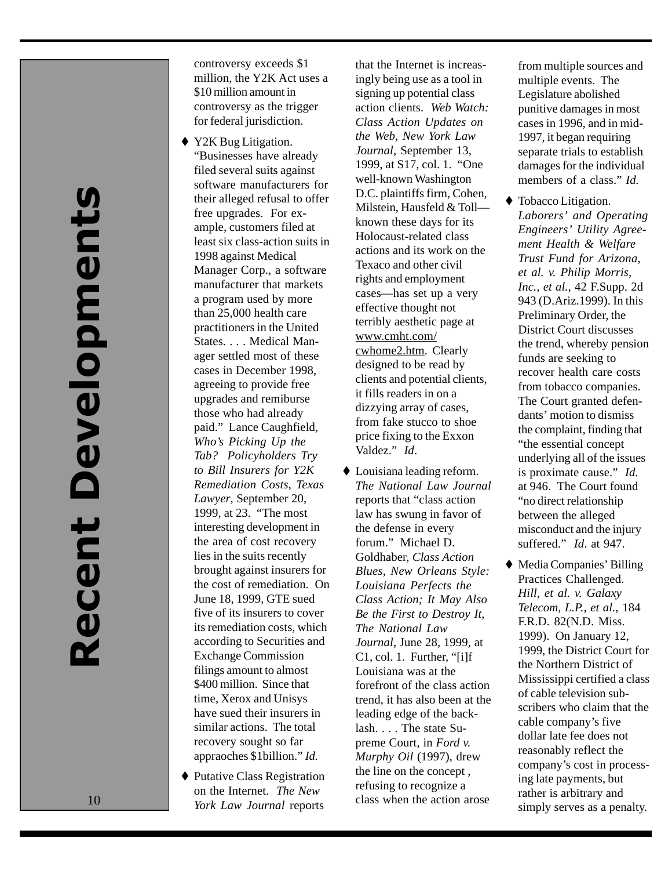controversy exceeds \$1 million, the Y2K Act uses a \$10 million amount in controversy as the trigger for federal jurisdiction.

- $\blacklozenge$  Y2K Bug Litigation. "Businesses have already filed several suits against software manufacturers for their alleged refusal to offer free upgrades. For example, customers filed at least six class-action suits in 1998 against Medical Manager Corp., a software manufacturer that markets a program used by more than 25,000 health care practitioners in the United States. . . . Medical Manager settled most of these cases in December 1998, agreeing to provide free upgrades and remiburse those who had already paid." Lance Caughfield, *Who's Picking Up the Tab? Policyholders Try to Bill Insurers for Y2K Remediation Costs*, *Texas Lawyer*, September 20, 1999, at 23. "The most interesting development in the area of cost recovery lies in the suits recently brought against insurers for the cost of remediation. On June 18, 1999, GTE sued five of its insurers to cover its remediation costs, which according to Securities and Exchange Commission filings amount to almost \$400 million. Since that time, Xerox and Unisys have sued their insurers in similar actions. The total recovery sought so far appraoches \$1billion." *Id.*
- $\blacklozenge$  Putative Class Registration on the Internet. *The New York Law Journal* reports

that the Internet is increasingly being use as a tool in signing up potential class action clients. *Web Watch: Class Action Updates on the Web*, *New York Law Journal*, September 13, 1999, at S17, col. 1. "One well-known Washington D.C. plaintiffs firm, Cohen, Milstein, Hausfeld & Toll known these days for its Holocaust-related class actions and its work on the Texaco and other civil rights and employment cases—has set up a very effective thought not terribly aesthetic page at www.cmht.com/ cwhome2.htm. Clearly designed to be read by clients and potential clients, it fills readers in on a dizzying array of cases, from fake stucco to shoe price fixing to the Exxon Valdez." *Id* .

 $\blacklozenge$  Louisiana leading reform. *The National Law Journal* reports that "class action law has swung in favor of the defense in every forum." Michael D. Goldhaber, *Class Action Blues, New Orleans Style: Louisiana Perfects the Class Action; It May Also Be the First to Destroy It* , *The National Law Journal*, June 28, 1999, at C1, col. 1. Further, "[i]f Louisiana was at the forefront of the class action trend, it has also been at the leading edge of the backlash. . . . The state Supreme Court, in *Ford v. Murphy Oil* (1997), drew the line on the concept , refusing to recognize a class when the action arose

from multiple sources and multiple events. The Legislature abolished punitive damages in most cases in 1996, and in mid-1997, it began requiring separate trials to establish damages for the individual members of a class." *Id.*

- $\blacklozenge$  Tobacco Litigation. *Laborers' and Operating Engineers' Utility Agreement Health & Welfare Trust Fund for Arizona, et al. v. Philip Morris, Inc., et al.*, 42 F.Supp. 2d 943 (D.Ariz.1999). In this Preliminary Order, the District Court discusses the trend, whereby pension funds are seeking to recover health care costs from tobacco companies. The Court granted defendants' motion to dismiss the complaint, finding that "the essential concept underlying all of the issues is proximate cause." *Id.* at 946. The Court found "no direct relationship between the alleged misconduct and the injury suffered." *Id*. at 947.
- $\blacklozenge$  Media Companies' Billing Practices Challenged. *Hill, et al. v. Galaxy Telecom, L.P., et al.*, 184 F.R.D. 82(N.D. Miss. 1999). On January 12, 1999, the District Court for the Northern District of Mississippi certified a class of cable television subscribers who claim that the cable company's five dollar late fee does not reasonably reflect the company's cost in processing late payments, but rather is arbitrary and simply serves as a penalty.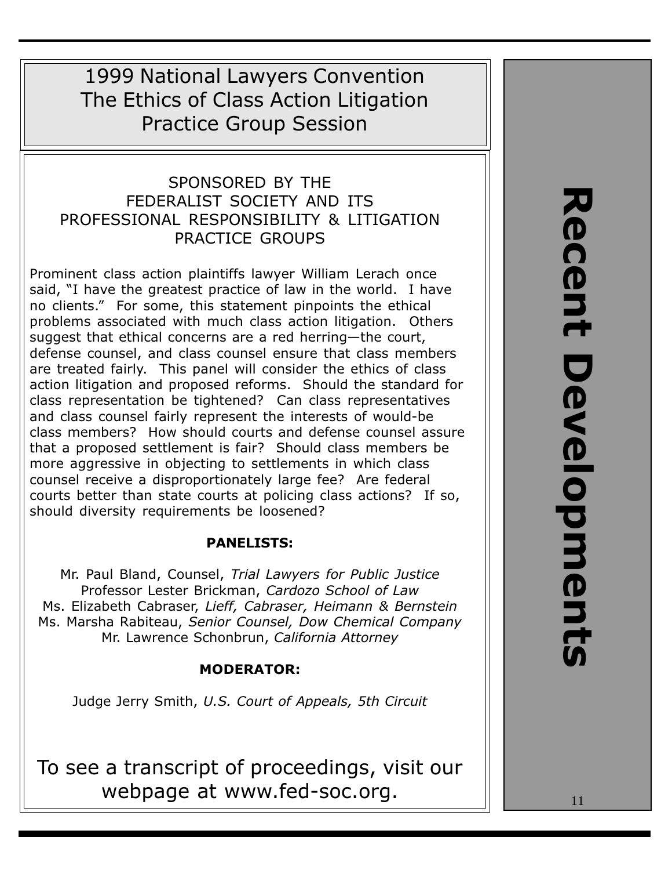## 1999 National Lawyers Convention The Ethics of Class Action Litigation Practice Group Session

### SPONSORED BY THE FEDERALIST SOCIETY AND ITS PROFESSIONAL RESPONSIBILITY & LITIGATION PRACTICE GROUPS

Prominent class action plaintiffs lawyer William Lerach once said, "I have the greatest practice of law in the world. I have no clients." For some, this statement pinpoints the ethical problems associated with much class action litigation. Others suggest that ethical concerns are a red herring-the court, defense counsel, and class counsel ensure that class members are treated fairly. This panel will consider the ethics of class action litigation and proposed reforms. Should the standard for class representation be tightened? Can class representatives and class counsel fairly represent the interests of would-be class members? How should courts and defense counsel assure that a proposed settlement is fair? Should class members be more aggressive in objecting to settlements in which class counsel receive a disproportionately large fee? Are federal courts better than state courts at policing class actions? If so, should diversity requirements be loosened?

### PANELISTS:

Mr. Paul Bland, Counsel, Trial Lawyers for Public Justice Professor Lester Brickman, Cardozo School of Law Ms. Elizabeth Cabraser, Lieff, Cabraser, Heimann & Bernstein Ms. Marsha Rabiteau, Senior Counsel, Dow Chemical Company Mr. Lawrence Schonbrun, California Attorney

### MODERATOR:

Judge Jerry Smith, U.S. Court of Appeals, 5th Circuit

To see a transcript of proceedings, visit our webpage at www.fed-soc.org.